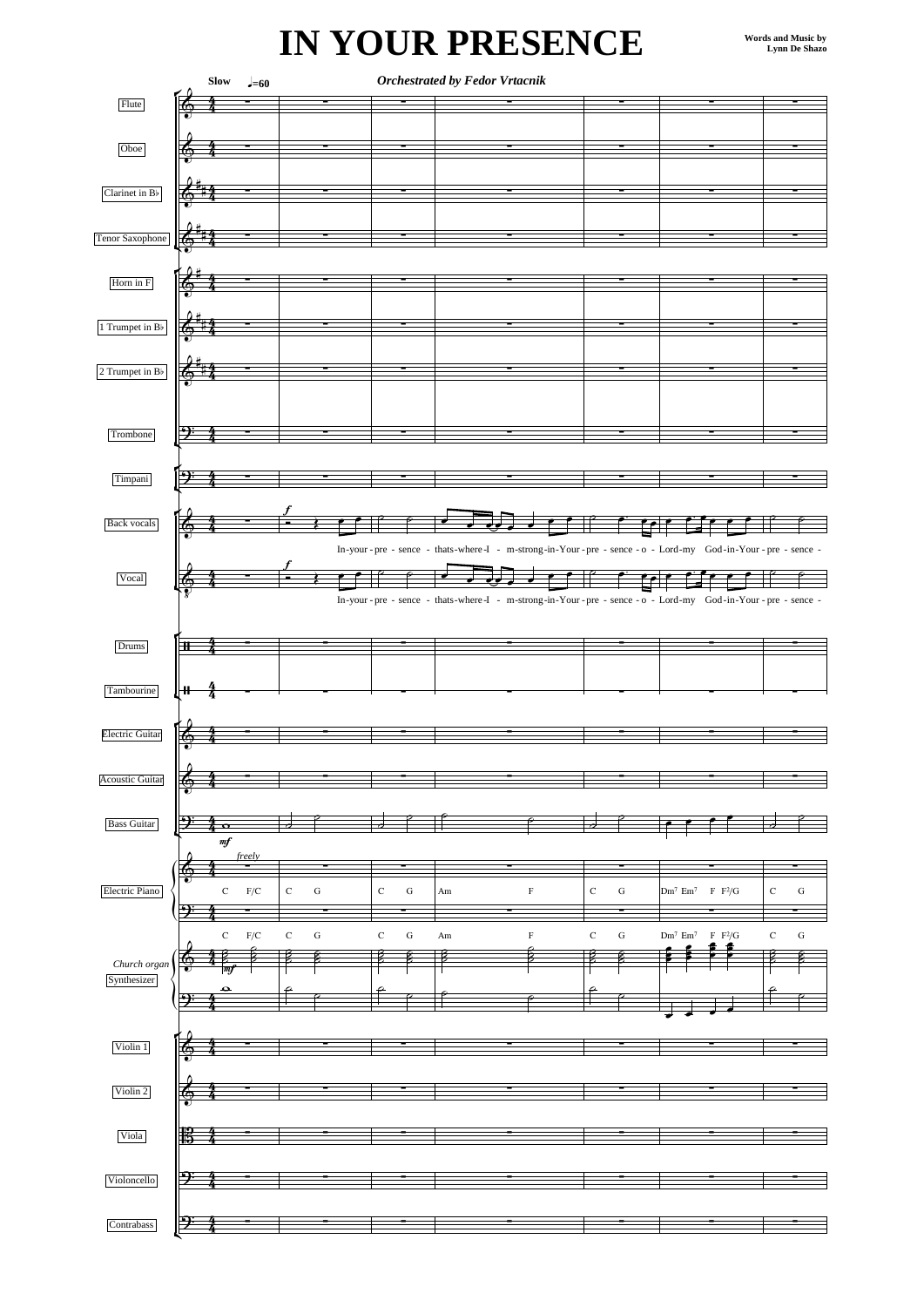## **IN YOUR PRESENCE**

|                           |          | <b>Orchestrated by Fedor Vrtacnik</b><br>$\operatorname{\mathbf{Slow}}$<br>$J=60$ |                          |                          |    |             |                       |                                                                                                                   |                          |
|---------------------------|----------|-----------------------------------------------------------------------------------|--------------------------|--------------------------|----|-------------|-----------------------|-------------------------------------------------------------------------------------------------------------------|--------------------------|
| Flute                     |          |                                                                                   |                          |                          |    |             |                       |                                                                                                                   |                          |
|                           |          |                                                                                   |                          |                          |    |             |                       |                                                                                                                   |                          |
|                           |          |                                                                                   |                          |                          |    |             |                       |                                                                                                                   |                          |
| Oboe                      |          |                                                                                   |                          |                          |    |             |                       |                                                                                                                   |                          |
|                           |          |                                                                                   |                          |                          |    |             |                       |                                                                                                                   |                          |
|                           |          |                                                                                   |                          |                          |    |             |                       |                                                                                                                   |                          |
| Clarinet in B             |          |                                                                                   |                          |                          |    |             |                       |                                                                                                                   |                          |
|                           |          |                                                                                   |                          |                          |    |             |                       |                                                                                                                   |                          |
|                           |          |                                                                                   |                          |                          |    |             |                       |                                                                                                                   |                          |
| Tenor Saxophone           |          |                                                                                   |                          |                          |    |             |                       |                                                                                                                   |                          |
|                           |          |                                                                                   |                          |                          |    |             |                       |                                                                                                                   |                          |
|                           |          |                                                                                   |                          |                          |    |             |                       |                                                                                                                   |                          |
| Horn in ${\rm F}$         |          |                                                                                   |                          |                          |    |             |                       |                                                                                                                   |                          |
|                           |          |                                                                                   |                          |                          |    |             |                       |                                                                                                                   |                          |
|                           |          |                                                                                   |                          |                          |    |             |                       |                                                                                                                   |                          |
| 1 Trumpet in $\rm B\flat$ |          |                                                                                   |                          |                          |    |             |                       |                                                                                                                   |                          |
|                           |          |                                                                                   |                          |                          |    |             |                       |                                                                                                                   |                          |
|                           |          |                                                                                   |                          |                          |    |             |                       |                                                                                                                   |                          |
| 2 Trumpet in Bb           |          |                                                                                   |                          |                          |    |             |                       |                                                                                                                   |                          |
|                           |          |                                                                                   |                          |                          |    |             |                       |                                                                                                                   |                          |
|                           |          |                                                                                   |                          |                          |    |             |                       |                                                                                                                   |                          |
|                           |          |                                                                                   |                          |                          |    |             |                       |                                                                                                                   |                          |
| Trombone                  | ⅁        |                                                                                   |                          |                          |    |             |                       |                                                                                                                   |                          |
|                           |          |                                                                                   |                          |                          |    |             |                       |                                                                                                                   |                          |
|                           |          |                                                                                   |                          |                          |    |             |                       |                                                                                                                   |                          |
| Timpani                   |          |                                                                                   |                          |                          |    |             |                       |                                                                                                                   |                          |
|                           |          |                                                                                   |                          |                          |    |             |                       |                                                                                                                   |                          |
|                           |          |                                                                                   |                          |                          |    |             |                       |                                                                                                                   |                          |
| Back vocals               |          |                                                                                   |                          |                          |    |             |                       |                                                                                                                   |                          |
|                           |          |                                                                                   |                          |                          |    |             |                       |                                                                                                                   |                          |
|                           |          |                                                                                   |                          |                          |    |             |                       | In-your - pre - sence - thats-where -I - m-strong-in-Your - pre - sence - o - Lord-my God-in-Your - pre - sence - |                          |
|                           |          |                                                                                   |                          |                          |    |             |                       |                                                                                                                   |                          |
| Vocal                     |          |                                                                                   |                          |                          |    |             |                       |                                                                                                                   |                          |
|                           |          |                                                                                   |                          |                          |    |             |                       |                                                                                                                   |                          |
|                           |          |                                                                                   |                          |                          |    |             |                       | In-your - pre - sence - thats-where -I - m-strong-in-Your - pre - sence - o - Lord-my God-in-Your - pre - sence - |                          |
|                           |          |                                                                                   |                          |                          |    |             |                       |                                                                                                                   |                          |
|                           |          |                                                                                   |                          |                          |    |             |                       |                                                                                                                   |                          |
| Drums                     | $\bf{H}$ |                                                                                   |                          |                          |    |             |                       |                                                                                                                   |                          |
|                           |          |                                                                                   |                          |                          |    |             |                       |                                                                                                                   |                          |
|                           |          |                                                                                   |                          |                          |    |             |                       |                                                                                                                   |                          |
| Tambourine                | ٠H       |                                                                                   |                          |                          |    |             |                       |                                                                                                                   |                          |
|                           |          |                                                                                   |                          |                          |    |             |                       |                                                                                                                   |                          |
|                           |          |                                                                                   |                          |                          |    |             |                       |                                                                                                                   |                          |
| <b>Electric Guitar</b>    |          |                                                                                   |                          |                          |    |             |                       |                                                                                                                   |                          |
|                           |          |                                                                                   |                          |                          |    |             |                       |                                                                                                                   |                          |
|                           |          |                                                                                   |                          |                          |    |             |                       |                                                                                                                   |                          |
| <b>Acoustic Guitar</b>    | €        |                                                                                   |                          |                          |    |             |                       |                                                                                                                   |                          |
|                           |          |                                                                                   |                          |                          |    |             |                       |                                                                                                                   |                          |
|                           | ኃ        |                                                                                   |                          |                          |    |             |                       |                                                                                                                   |                          |
| <b>Bass Guitar</b>        |          | $\bullet$                                                                         |                          |                          |    |             | d                     |                                                                                                                   |                          |
|                           | $\it mf$ |                                                                                   |                          |                          |    |             |                       |                                                                                                                   |                          |
|                           |          | freely                                                                            |                          |                          |    |             |                       |                                                                                                                   |                          |
|                           | Ŧ,       |                                                                                   |                          |                          |    |             |                       |                                                                                                                   |                          |
| Electric Piano            |          | $\mathbf C$<br>$\mathrm{F}/\mathrm{C}$                                            | $\rm{C}$<br>${\rm G}$    | $\mathbf C$<br>${\bf G}$ | Am | $\mathbf F$ | $\rm{C}$<br>${\bf G}$ | $\rm Dm^7$ Em <sup>7</sup><br>$\rm F~F^2\!/G$                                                                     | ${\bf C}$<br>${\bf G}$   |
|                           |          |                                                                                   |                          |                          |    |             |                       |                                                                                                                   |                          |
|                           |          |                                                                                   |                          |                          |    |             |                       |                                                                                                                   |                          |
|                           |          | $\mathbf C$<br>${\rm F/C}$                                                        | $\mathbf C$<br>${\bf G}$ | $\mathbf C$<br>${\bf G}$ | Am | $\mathbf F$ | $\rm{C}$<br>${\rm G}$ | ${\rm Dm^7~Em^7}$ $\;$ F $\;{\rm F^2/G}$                                                                          | $\mathbf C$<br>${\bf G}$ |
|                           |          |                                                                                   |                          | ₽                        |    | Z           | É                     |                                                                                                                   | €                        |
| Church organ              | A        | m                                                                                 |                          |                          |    |             |                       |                                                                                                                   |                          |
| Synthesizer               |          |                                                                                   |                          |                          |    |             |                       |                                                                                                                   |                          |
|                           |          | ⊖                                                                                 |                          |                          |    |             |                       |                                                                                                                   |                          |
|                           |          |                                                                                   |                          |                          |    |             |                       |                                                                                                                   |                          |
|                           |          |                                                                                   |                          |                          |    |             |                       |                                                                                                                   |                          |
| Violin 1                  |          |                                                                                   |                          |                          |    |             |                       |                                                                                                                   |                          |
|                           |          |                                                                                   |                          |                          |    |             |                       |                                                                                                                   |                          |
|                           |          |                                                                                   |                          |                          |    |             |                       |                                                                                                                   |                          |
|                           |          |                                                                                   |                          |                          |    |             |                       |                                                                                                                   |                          |
| Violin 2                  | А        |                                                                                   |                          |                          |    |             |                       |                                                                                                                   |                          |
|                           |          |                                                                                   |                          |                          |    |             |                       |                                                                                                                   |                          |
|                           |          |                                                                                   |                          |                          |    |             |                       |                                                                                                                   |                          |
| Viola                     | 13       |                                                                                   |                          |                          |    |             |                       |                                                                                                                   |                          |
|                           |          |                                                                                   |                          |                          |    |             |                       |                                                                                                                   |                          |
|                           |          |                                                                                   |                          |                          |    |             |                       |                                                                                                                   |                          |
| Violoncello               | Э        |                                                                                   |                          |                          |    |             |                       |                                                                                                                   |                          |
|                           |          |                                                                                   |                          |                          |    |             |                       |                                                                                                                   |                          |
|                           |          |                                                                                   |                          |                          |    |             |                       |                                                                                                                   |                          |
| Contrabass                | ₿        |                                                                                   |                          |                          |    |             |                       |                                                                                                                   |                          |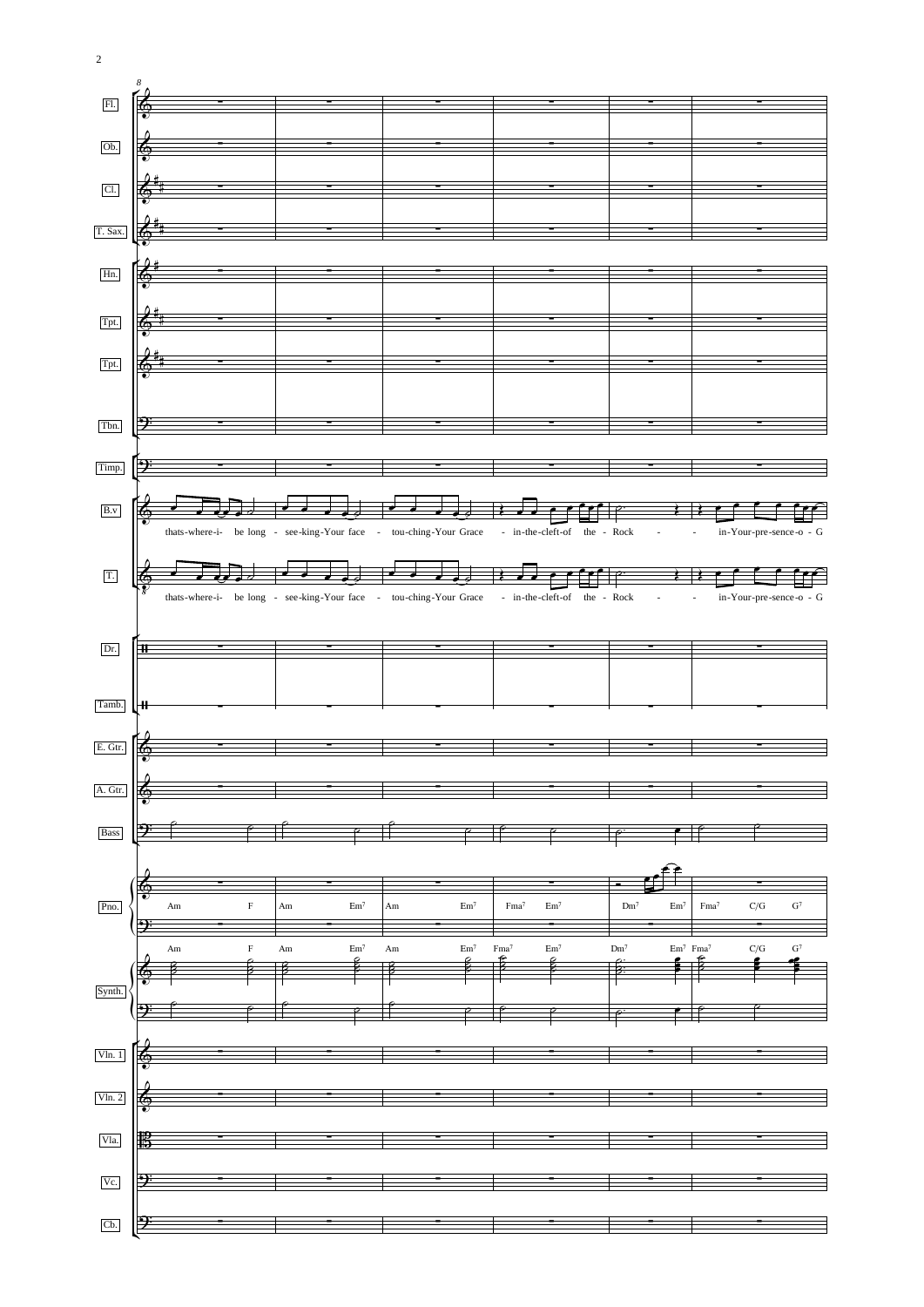

2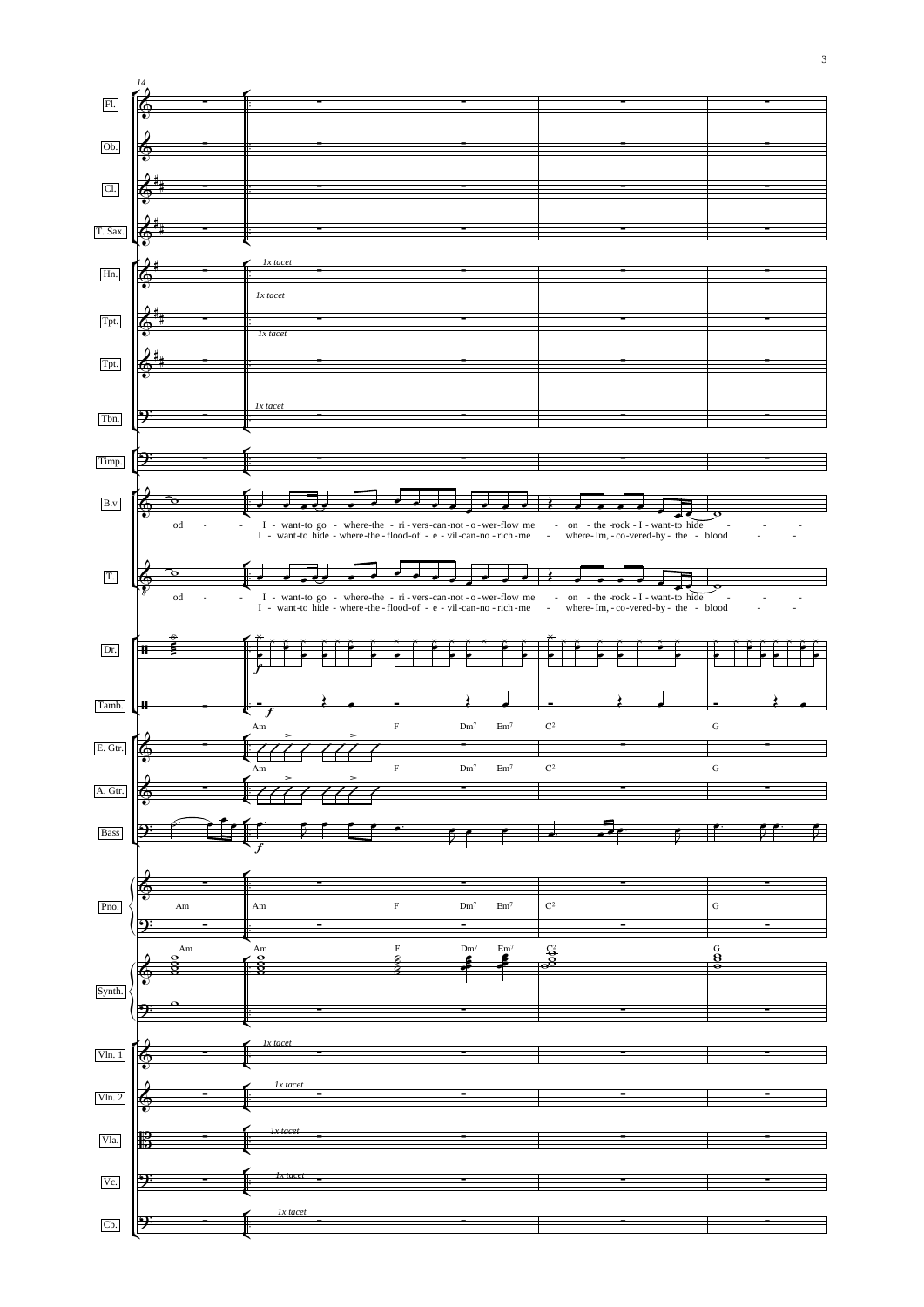